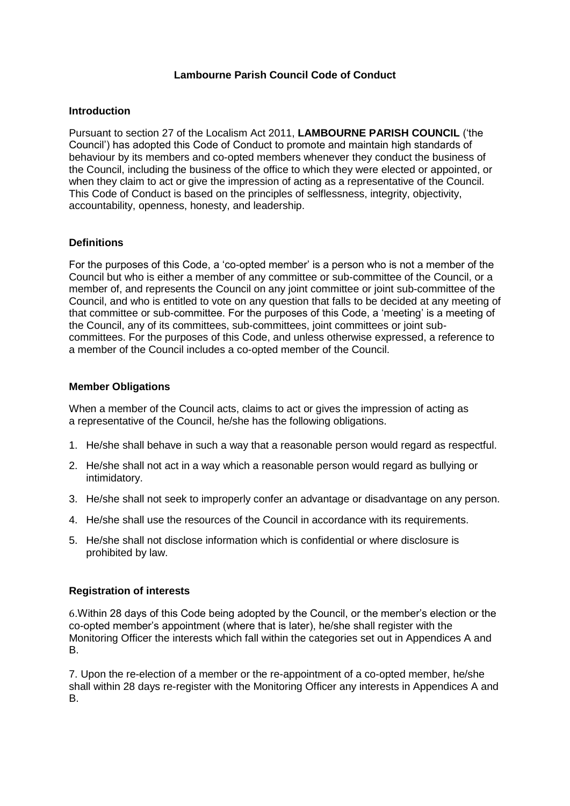## **Lambourne Parish Council Code of Conduct**

#### **Introduction**

Pursuant to section 27 of the Localism Act 2011, **LAMBOURNE PARISH COUNCIL** ('the Council') has adopted this Code of Conduct to promote and maintain high standards of behaviour by its members and co-opted members whenever they conduct the business of the Council, including the business of the office to which they were elected or appointed, or when they claim to act or give the impression of acting as a representative of the Council. This Code of Conduct is based on the principles of selflessness, integrity, objectivity, accountability, openness, honesty, and leadership.

### **Definitions**

For the purposes of this Code, a 'co-opted member' is a person who is not a member of the Council but who is either a member of any committee or sub-committee of the Council, or a member of, and represents the Council on any joint committee or joint sub-committee of the Council, and who is entitled to vote on any question that falls to be decided at any meeting of that committee or sub-committee. For the purposes of this Code, a 'meeting' is a meeting of the Council, any of its committees, sub-committees, joint committees or joint subcommittees. For the purposes of this Code, and unless otherwise expressed, a reference to a member of the Council includes a co-opted member of the Council.

#### **Member Obligations**

When a member of the Council acts, claims to act or gives the impression of acting as a representative of the Council, he/she has the following obligations.

- 1. He/she shall behave in such a way that a reasonable person would regard as respectful.
- 2. He/she shall not act in a way which a reasonable person would regard as bullying or intimidatory.
- 3. He/she shall not seek to improperly confer an advantage or disadvantage on any person.
- 4. He/she shall use the resources of the Council in accordance with its requirements.
- 5. He/she shall not disclose information which is confidential or where disclosure is prohibited by law.

### **Registration of interests**

6.Within 28 days of this Code being adopted by the Council, or the member's election or the co-opted member's appointment (where that is later), he/she shall register with the Monitoring Officer the interests which fall within the categories set out in Appendices A and B.

7. Upon the re-election of a member or the re-appointment of a co-opted member, he/she shall within 28 days re-register with the Monitoring Officer any interests in Appendices A and B.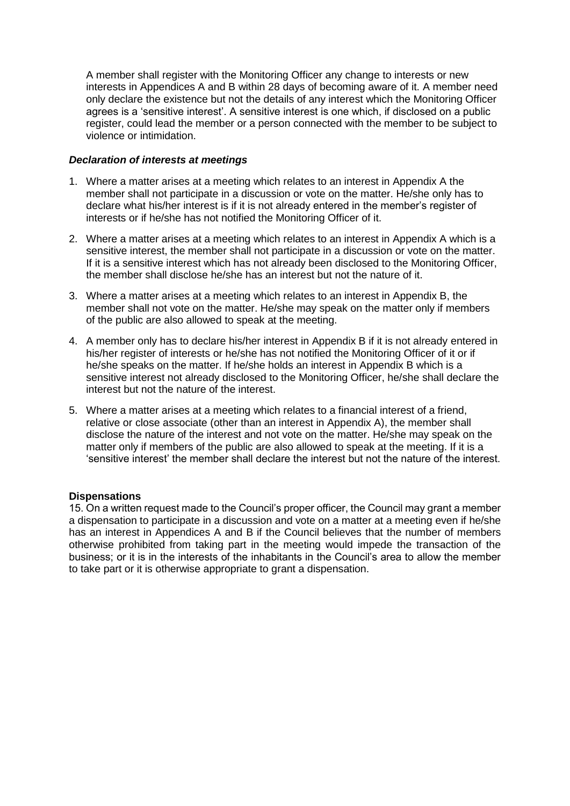A member shall register with the Monitoring Officer any change to interests or new interests in Appendices A and B within 28 days of becoming aware of it. A member need only declare the existence but not the details of any interest which the Monitoring Officer agrees is a 'sensitive interest'. A sensitive interest is one which, if disclosed on a public register, could lead the member or a person connected with the member to be subject to violence or intimidation.

### *Declaration of interests at meetings*

- 1. Where a matter arises at a meeting which relates to an interest in Appendix A the member shall not participate in a discussion or vote on the matter. He/she only has to declare what his/her interest is if it is not already entered in the member's register of interests or if he/she has not notified the Monitoring Officer of it.
- 2. Where a matter arises at a meeting which relates to an interest in Appendix A which is a sensitive interest, the member shall not participate in a discussion or vote on the matter. If it is a sensitive interest which has not already been disclosed to the Monitoring Officer, the member shall disclose he/she has an interest but not the nature of it.
- 3. Where a matter arises at a meeting which relates to an interest in Appendix B, the member shall not vote on the matter. He/she may speak on the matter only if members of the public are also allowed to speak at the meeting.
- 4. A member only has to declare his/her interest in Appendix B if it is not already entered in his/her register of interests or he/she has not notified the Monitoring Officer of it or if he/she speaks on the matter. If he/she holds an interest in Appendix B which is a sensitive interest not already disclosed to the Monitoring Officer, he/she shall declare the interest but not the nature of the interest.
- 5. Where a matter arises at a meeting which relates to a financial interest of a friend, relative or close associate (other than an interest in Appendix A), the member shall disclose the nature of the interest and not vote on the matter. He/she may speak on the matter only if members of the public are also allowed to speak at the meeting. If it is a 'sensitive interest' the member shall declare the interest but not the nature of the interest.

### **Dispensations**

15. On a written request made to the Council's proper officer, the Council may grant a member a dispensation to participate in a discussion and vote on a matter at a meeting even if he/she has an interest in Appendices A and B if the Council believes that the number of members otherwise prohibited from taking part in the meeting would impede the transaction of the business; or it is in the interests of the inhabitants in the Council's area to allow the member to take part or it is otherwise appropriate to grant a dispensation.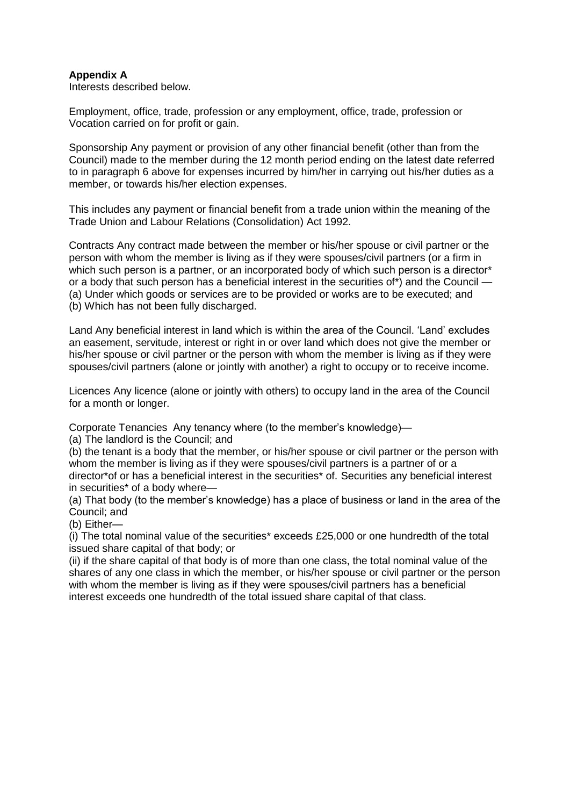## **Appendix A**

Interests described below.

Employment, office, trade, profession or any employment, office, trade, profession or Vocation carried on for profit or gain.

Sponsorship Any payment or provision of any other financial benefit (other than from the Council) made to the member during the 12 month period ending on the latest date referred to in paragraph 6 above for expenses incurred by him/her in carrying out his/her duties as a member, or towards his/her election expenses.

This includes any payment or financial benefit from a trade union within the meaning of the Trade Union and Labour Relations (Consolidation) Act 1992.

Contracts Any contract made between the member or his/her spouse or civil partner or the person with whom the member is living as if they were spouses/civil partners (or a firm in which such person is a partner, or an incorporated body of which such person is a director<sup>\*</sup> or a body that such person has a beneficial interest in the securities of\*) and the Council -(a) Under which goods or services are to be provided or works are to be executed; and (b) Which has not been fully discharged.

Land Any beneficial interest in land which is within the area of the Council. 'Land' excludes an easement, servitude, interest or right in or over land which does not give the member or his/her spouse or civil partner or the person with whom the member is living as if they were spouses/civil partners (alone or jointly with another) a right to occupy or to receive income.

Licences Any licence (alone or jointly with others) to occupy land in the area of the Council for a month or longer.

Corporate Tenancies Any tenancy where (to the member's knowledge)—

(a) The landlord is the Council; and

(b) the tenant is a body that the member, or his/her spouse or civil partner or the person with whom the member is living as if they were spouses/civil partners is a partner of or a director\*of or has a beneficial interest in the securities\* of. Securities any beneficial interest in securities\* of a body where—

(a) That body (to the member's knowledge) has a place of business or land in the area of the Council; and

(b) Either—

(i) The total nominal value of the securities\* exceeds £25,000 or one hundredth of the total issued share capital of that body; or

(ii) if the share capital of that body is of more than one class, the total nominal value of the shares of any one class in which the member, or his/her spouse or civil partner or the person with whom the member is living as if they were spouses/civil partners has a beneficial interest exceeds one hundredth of the total issued share capital of that class.